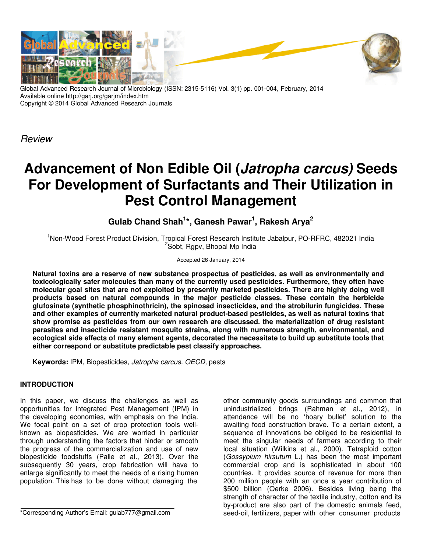

Global Advanced Research Journal of Microbiology (ISSN: 2315-5116) Vol. 3(1) pp. 001-004, February, 2014 Available online http://garj.org/garjm/index.htm Copyright © 2014 Global Advanced Research Journals

**Review** 

# **Advancement of Non Edible Oil (Jatropha carcus) Seeds For Development of Surfactants and Their Utilization in Pest Control Management**

**Gulab Chand Shah<sup>1</sup> \*, Ganesh Pawar<sup>1</sup> , Rakesh Arya<sup>2</sup>**

<sup>1</sup>Non-Wood Forest Product Division, Tropical Forest Research Institute Jabalpur, PO-RFRC, 482021 India <sup>2</sup>Sobt, Rgpv, Bhopal Mp India

Accepted 26 January, 2014

**Natural toxins are a reserve of new substance prospectus of pesticides, as well as environmentally and toxicologically safer molecules than many of the currently used pesticides. Furthermore, they often have molecular goal sites that are not exploited by presently marketed pesticides. There are highly doing well products based on natural compounds in the major pesticide classes. These contain the herbicide glufosinate (synthetic phosphinothricin), the spinosad insecticides, and the strobilurin fungicides. These and other examples of currently marketed natural product-based pesticides, as well as natural toxins that show promise as pesticides from our own research are discussed. the materialization of drug resistant parasites and insecticide resistant mosquito strains, along with numerous strength, environmental, and ecological side effects of many element agents, decorated the necessitate to build up substitute tools that either correspond or substitute predictable pest classify approaches.** 

**Keywords:** IPM, Biopesticides, Jatropha carcus, OECD, pests

## **INTRODUCTION**

In this paper, we discuss the challenges as well as opportunities for Integrated Pest Management (IPM) in the developing economies, with emphasis on the India. We focal point on a set of crop protection tools wellknown as biopesticides. We are worried in particular through understanding the factors that hinder or smooth the progress of the commercialization and use of new biopesticide foodstuffs (Palle et al., 2013). Over the subsequently 30 years, crop fabrication will have to enlarge significantly to meet the needs of a rising human population. This has to be done without damaging the

\*Corresponding Author's Email: gulab777@gmail.com

other community goods surroundings and common that unindustrialized brings (Rahman et al., 2012), in attendance will be no 'hoary bullet' solution to the awaiting food construction brave. To a certain extent, a sequence of innovations be obliged to be residential to meet the singular needs of farmers according to their local situation (Wilkins et al., 2000). Tetraploid cotton (Gossypium hirsutum L.) has been the most important commercial crop and is sophisticated in about 100 countries. It provides source of revenue for more than 200 million people with an once a year contribution of \$500 billion (Oerke 2006). Besides living being the strength of character of the textile industry, cotton and its by-product are also part of the domestic animals feed, seed-oil, fertilizers, paper with other consumer products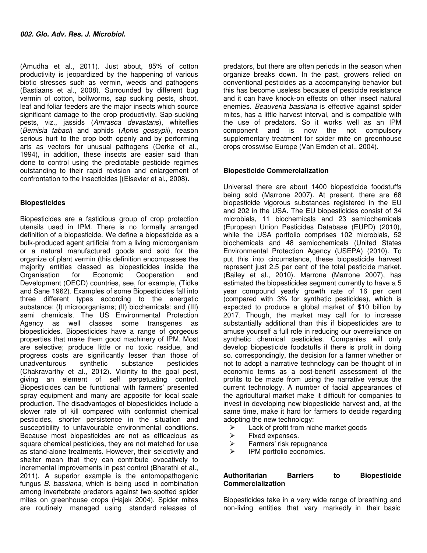(Amudha et al., 2011). Just about, 85% of cotton productivity is jeopardized by the happening of various biotic stresses such as vermin, weeds and pathogens (Bastiaans et al., 2008). Surrounded by different bug vermin of cotton, bollworms, sap sucking pests, shoot, leaf and foliar feeders are the major insects which source significant damage to the crop productivity. Sap-sucking pests, viz., jassids (Amrasca devastans), whiteflies (Bemisia tabaci) and aphids (Aphis gossypii), reason serious hurt to the crop both openly and by performing arts as vectors for unusual pathogens (Oerke et al., 1994), in addition, these insects are easier said than done to control using the predictable pesticide regimes outstanding to their rapid revision and enlargement of confrontation to the insecticides [(Elsevier et al., 2008).

### **Biopesticides**

Biopesticides are a fastidious group of crop protection utensils used in IPM. There is no formally arranged definition of a biopesticide. We define a biopesticide as a bulk-produced agent artificial from a living microorganism or a natural manufactured goods and sold for the organize of plant vermin (this definition encompasses the majority entities classed as biopesticides inside the Organisation for Economic Cooperation and Development (OECD) countries, see, for example, (Tidke and Sane 1962). Examples of some Biopesticides fall into three different types according to the energetic substance: (I) microorganisms; (II) biochemicals; and (III) semi chemicals. The US Environmental Protection Agency as well classes some transgenes as biopesticides. Biopesticides have a range of gorgeous properties that make them good machinery of IPM. Most are selective; produce little or no toxic residue, and progress costs are significantly lesser than those of unadventurous synthetic substance pesticides (Chakravarthy et al., 2012). Vicinity to the goal pest, giving an element of self perpetuating control. Biopesticides can be functional with farmers' presented spray equipment and many are apposite for local scale production. The disadvantages of biopesticides include a slower rate of kill compared with conformist chemical pesticides, shorter persistence in the situation and susceptibility to unfavourable environmental conditions. Because most biopesticides are not as efficacious as square chemical pesticides, they are not matched for use as stand-alone treatments. However, their selectivity and shelter mean that they can contribute evocatively to incremental improvements in pest control (Bharathi et al., 2011). A superior example is the entomopathogenic fungus B. bassiana, which is being used in combination among invertebrate predators against two-spotted spider mites on greenhouse crops (Hajek 2004). Spider mites are routinely managed using standard releases of

predators, but there are often periods in the season when organize breaks down. In the past, growers relied on conventional pesticides as a accompanying behavior but this has become useless because of pesticide resistance and it can have knock-on effects on other insect natural enemies. Beauveria bassiana is effective against spider mites, has a little harvest interval, and is compatible with the use of predators. So it works well as an IPM component and is now the not compulsory supplementary treatment for spider mite on greenhouse crops crosswise Europe (Van Emden et al., 2004).

### **Biopesticide Commercialization**

Universal there are about 1400 biopesticide foodstuffs being sold (Marrone 2007). At present, there are 68 biopesticide vigorous substances registered in the EU and 202 in the USA. The EU biopesticides consist of 34 microbials, 11 biochemicals and 23 semiochemicals (European Union Pesticides Database (EUPD) (2010), while the USA portfolio comprises 102 microbials, 52 biochemicals and 48 semiochemicals (United States Environmental Protection Agency (USEPA) (2010). To put this into circumstance, these biopesticide harvest represent just 2.5 per cent of the total pesticide market. (Bailey et al., 2010). Marrone (Marrone 2007), has estimated the biopesticides segment currently to have a 5 year compound yearly growth rate of 16 per cent (compared with 3% for synthetic pesticides), which is expected to produce a global market of \$10 billion by 2017. Though, the market may call for to increase substantially additional than this if biopesticides are to amuse yourself a full role in reducing our overreliance on synthetic chemical pesticides. Companies will only develop biopesticide foodstuffs if there is profit in doing so. correspondingly, the decision for a farmer whether or not to adopt a narrative technology can be thought of in economic terms as a cost-benefit assessment of the profits to be made from using the narrative versus the current technology. A number of facial appearances of the agricultural market make it difficult for companies to invest in developing new biopesticide harvest and, at the same time, make it hard for farmers to decide regarding adopting the new technology:

- $\geq$  Lack of profit from niche market goods<br>  $\geq$  Fixed expenses.
- Fixed expenses.
- $\triangleright$  Farmers' risk repugnance
- $\triangleright$  IPM portfolio economies.

### **Authoritarian Barriers to Biopesticide Commercialization**

Biopesticides take in a very wide range of breathing and non-living entities that vary markedly in their basic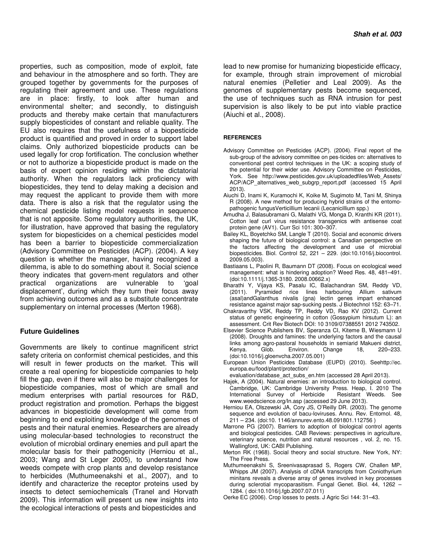properties, such as composition, mode of exploit, fate and behaviour in the atmosphere and so forth. They are grouped together by governments for the purposes of regulating their agreement and use. These regulations are in place: firstly, to look after human and environmental shelter; and secondly, to distinguish products and thereby make certain that manufacturers supply biopesticides of constant and reliable quality. The EU also requires that the usefulness of a biopesticide product is quantified and proved in order to support label claims. Only authorized biopesticide products can be used legally for crop fortification. The conclusion whether or not to authorize a biopesticide product is made on the basis of expert opinion residing within the dictatorial authority. When the regulators lack proficiency with biopesticides, they tend to delay making a decision and may request the applicant to provide them with more data. There is also a risk that the regulator using the chemical pesticide listing model requests in sequence that is not apposite. Some regulatory authorities, the UK, for illustration, have approved that basing the regulatory system for biopesticides on a chemical pesticides model has been a barrier to biopesticide commercialization (Advisory Committee on Pesticides (ACP). (2004). A key question is whether the manager, having recognized a dilemma, is able to do something about it. Social science theory indicates that govern-ment regulators and other practical organizations are vulnerable to 'goal displacement', during which they turn their focus away from achieving outcomes and as a substitute concentrate supplementary on internal processes (Merton 1968).

#### **Future Guidelines**

Governments are likely to continue magnificent strict safety criteria on conformist chemical pesticides, and this will result in fewer products on the market. This will create a real opening for biopesticide companies to help fill the gap, even if there will also be major challenges for biopesticide companies, most of which are small and medium enterprises with partial resources for R&D, product registration and promotion. Perhaps the biggest advances in biopesticide development will come from beginning to end exploiting knowledge of the genomes of pests and their natural enemies. Researchers are already using molecular-based technologies to reconstruct the evolution of microbial ordinary enemies and pull apart the molecular basis for their pathogenicity (Herniou et al., 2003; Wang and St Leger 2005), to understand how weeds compete with crop plants and develop resistance to herbicides (Muthumeenakshi et al., 2007), and to identify and characterize the receptor proteins used by insects to detect semiochemicals (Tranel and Horvath 2009). This information will present us new insights into the ecological interactions of pests and biopesticides and

lead to new promise for humanizing biopesticide efficacy, for example, through strain improvement of microbial natural enemies (Pelletier and Leal 2009). As the genomes of supplementary pests become sequenced, the use of techniques such as RNA intrusion for pest supervision is also likely to be put into viable practice (Aiuchi et al., 2008).

#### **REFERENCES**

- Advisory Committee on Pesticides (ACP). (2004). Final report of the sub-group of the advisory committee on pes-ticides on: alternatives to conventional pest control techniques in the UK: a scoping study of the potential for their wider use. Advisory Committee on Pesticides, York. See http://www.pesticides.gov.uk/uploadedfiles/Web\_Assets/ ACP/ACP alternatives web subgrp report.pdf (accessed 15 April 2013).
- Aiuchi D, Inami K, Kuramochi K, Koike M, Sugimoto M, Tani M, Shinya R (2008). A new method for producing hybrid strains of the entomopathogenic fungusVerticillium lecanii (Lecanicillium spp.)
- Amudha J, Balasubramani G, Malathi VG, Monga D, Kranthi KR (2011). Cotton leaf curl virus resistance transgenics with antisense coat protein gene (AV1). Curr Sci 101: 300–307.
- Bailey KL, Boyetchko SM, Langle T (2010). Social and economic drivers shaping the future of biological control: a Canadian perspective on the factors affecting the development and use of microbial biopesticides. Biol. Control 52, 221 – 229. (doi:10.1016/j.biocontrol. 2009.05.003).
- Bastiaans L, Paolini R, Baumann DT (2008). Focus on ecological weed management: what is hindering adoption? Weed Res. 48, 481–491. (doi:10.1111/j.1365-3180. 2008.00662.x)
- Bharathi Y, Vijaya KS, Pasalu IC, Balachandran SM, Reddy VD, (2011). Pyramided rice lines harbouring Allium sativum (asal)andGalanthus nivalis (gna) lectin genes impart enhanced resistance against major sap-sucking pests. J Biotechnol 152: 63–71.
- Chakravarthy VSK, Reddy TP, Reddy VD, Rao KV (2012). Current status of genetic engineering in cotton (Gossypium hirsutum L): an assessment. Crit Rev Biotech DOI: 10 3109/07388551 2012 743502.
- Elsevier Science Publishers BV, Speranza CI, Kiteme B, Wiesmann U (2008). Droughts and famines: the underlying factors and the causal links among agro-pastoral households in semiarid Makueni district, Kenya. Glob. Environ. Change 18, 220–233. (doi:10.1016/j.gloenvcha.2007.05.001)
- European Union Pesticides Database (EUPD) (2010). Seehttp://ec. europa.eu/food/plant/protection/

evaluation/database\_act\_subs\_en.htm (accessed 28 April 2013).

- Hajek, A (2004). Natural enemies: an introduction to biological control. Cambridge, UK: Cambridge University Press. Heap, I. 2010 The International Survey of Herbicide Resistant Weeds. See www.weedscience.org/In.asp (accessed 29 June 2013).
- Herniou EA, Olszewski JA, Cory JS, O'Reilly DR. (2003). The genome sequence and evolution of bacu-loviruses. Annu. Rev. Entomol. 48, 211 – 234. (doi:10. 1146/annurev.ento.48.091801.112756 )
- Marrone PG (2007). Barriers to adoption of biological control agents and biological pesticides. CAB Reviews: perspectives in agriculture, veterinary science, nutrition and natural resources , vol. 2, no. 15. Wallingford, UK: CABI Publishing.
- Merton RK (1968). Social theory and social structure. New York, NY: The Free Press.
- Muthumeenakshi S, Sreenivasaprasad S, Rogers CW, Challen MP, Whipps JM (2007). Analysis of cDNA transcripts from Coniothyrium minitans reveals a diverse array of genes involved in key processes during sclerotial mycoparasitism. Fungal Genet. Biol. 44, 1262 – 1284. ( doi:10.1016/j.fgb.2007.07.011)
- Oerke EC (2006). Crop losses to pests. J Agric Sci 144: 31–43.